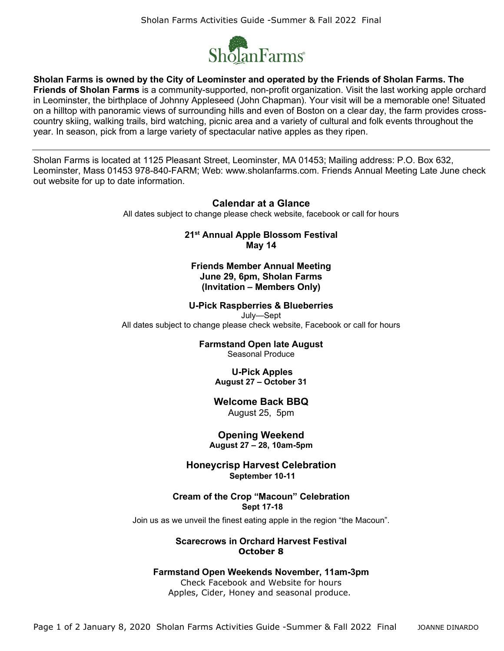

**Sholan Farms is owned by the City of Leominster and operated by the Friends of Sholan Farms. The Friends of Sholan Farms** is a community-supported, non-profit organization. Visit the last working apple orchard in Leominster, the birthplace of Johnny Appleseed (John Chapman). Your visit will be a memorable one! Situated on a hilltop with panoramic views of surrounding hills and even of Boston on a clear day, the farm provides crosscountry skiing, walking trails, bird watching, picnic area and a variety of cultural and folk events throughout the year. In season, pick from a large variety of spectacular native apples as they ripen.

Sholan Farms is located at 1125 Pleasant Street, Leominster, MA 01453; Mailing address: P.O. Box 632, Leominster, Mass 01453 978-840-FARM; Web: www.sholanfarms.com. Friends Annual Meeting Late June check out website for up to date information.

### **Calendar at a Glance**

All dates subject to change please check website, facebook or call for hours

**21st Annual Apple Blossom Festival May 14**

**Friends Member Annual Meeting June 29, 6pm, Sholan Farms (Invitation – Members Only)** 

#### **U-Pick Raspberries & Blueberries**

July—Sept

All dates subject to change please check website, Facebook or call for hours

#### **Farmstand Open late August**

Seasonal Produce

#### **U-Pick Apples August 27 – October 31**

## **Welcome Back BBQ**

August 25, 5pm

# **Opening Weekend**

**August 27 – 28, 10am-5pm**

## **Honeycrisp Harvest Celebration September 10-11**

#### **Cream of the Crop "Macoun" Celebration Sept 17-18**

Join us as we unveil the finest eating apple in the region "the Macoun".

### **Scarecrows in Orchard Harvest Festival October 8**

#### **Farmstand Open Weekends November, 11am-3pm**

Check Facebook and Website for hours Apples, Cider, Honey and seasonal produce.